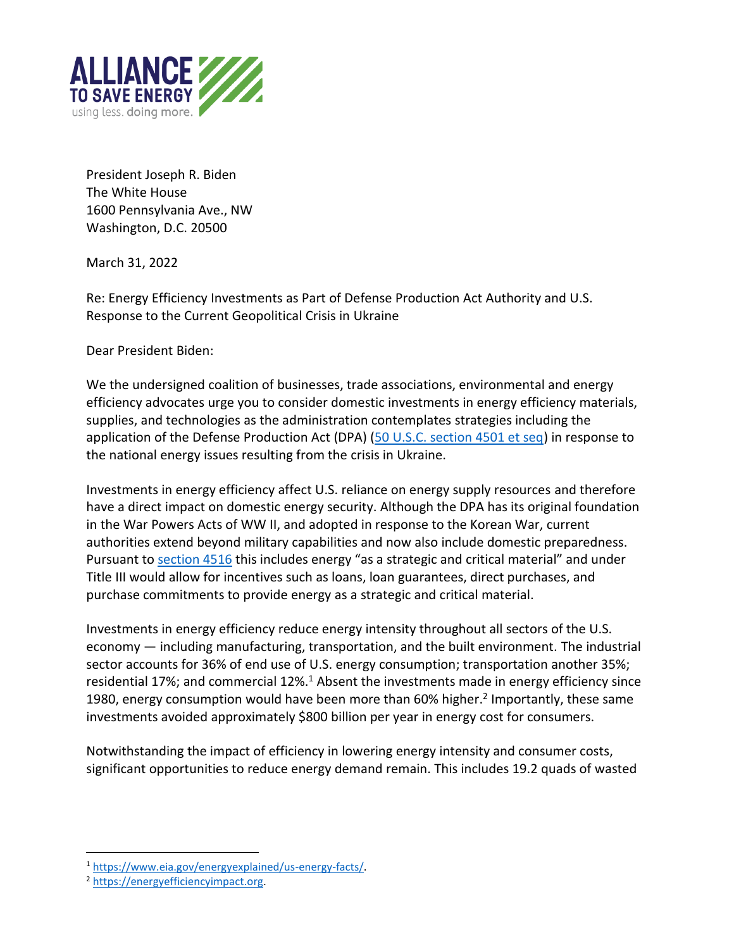

President Joseph R. Biden The White House 1600 Pennsylvania Ave., NW Washington, D.C. 20500

March 31, 2022

Re: Energy Efficiency Investments as Part of Defense Production Act Authority and U.S. Response to the Current Geopolitical Crisis in Ukraine

Dear President Biden:

We the undersigned coalition of businesses, trade associations, environmental and energy efficiency advocates urge you to consider domestic investments in energy efficiency materials, supplies, and technologies as the administration contemplates strategies including the application of the Defense Production Act (DPA) [\(50 U.S.C. section 4501 et seq\)](https://uscode.house.gov/view.xhtml?req=(title:50%20section:4501%20edition:prelim)%20OR%20(granuleid:USC-prelim-title50-section4501)&f=treesort&edition=prelim&num=0&jumpTo=true) in response to the national energy issues resulting from the crisis in Ukraine.

Investments in energy efficiency affect U.S. reliance on energy supply resources and therefore have a direct impact on domestic energy security. Although the DPA has its original foundation in the War Powers Acts of WW II, and adopted in response to the Korean War, current authorities extend beyond military capabilities and now also include domestic preparedness. Pursuant to [section 4516](https://uscode.house.gov/view.xhtml?req=(title:50%20section:4516%20edition:prelim)%20OR%20(granuleid:USC-prelim-title50-section4516)&f=treesort&edition=prelim&num=0&jumpTo=true) this includes energy "as a strategic and critical material" and under Title III would allow for incentives such as loans, loan guarantees, direct purchases, and purchase commitments to provide energy as a strategic and critical material.

Investments in energy efficiency reduce energy intensity throughout all sectors of the U.S. economy — including manufacturing, transportation, and the built environment. The industrial sector accounts for 36% of end use of U.S. energy consumption; transportation another 35%; residential 17%; and commercial  $12\%$ .<sup>1</sup> Absent the investments made in energy efficiency since 1980, energy consumption would have been more than 60% higher.<sup>2</sup> Importantly, these same investments avoided approximately \$800 billion per year in energy cost for consumers.

Notwithstanding the impact of efficiency in lowering energy intensity and consumer costs, significant opportunities to reduce energy demand remain. This includes 19.2 quads of wasted

<sup>1</sup> [https://www.eia.gov/energyexplained/us-energy-facts/.](https://www.eia.gov/energyexplained/us-energy-facts/)

<sup>2</sup> [https://energyefficiencyimpact.org.](https://energyefficiencyimpact.org/)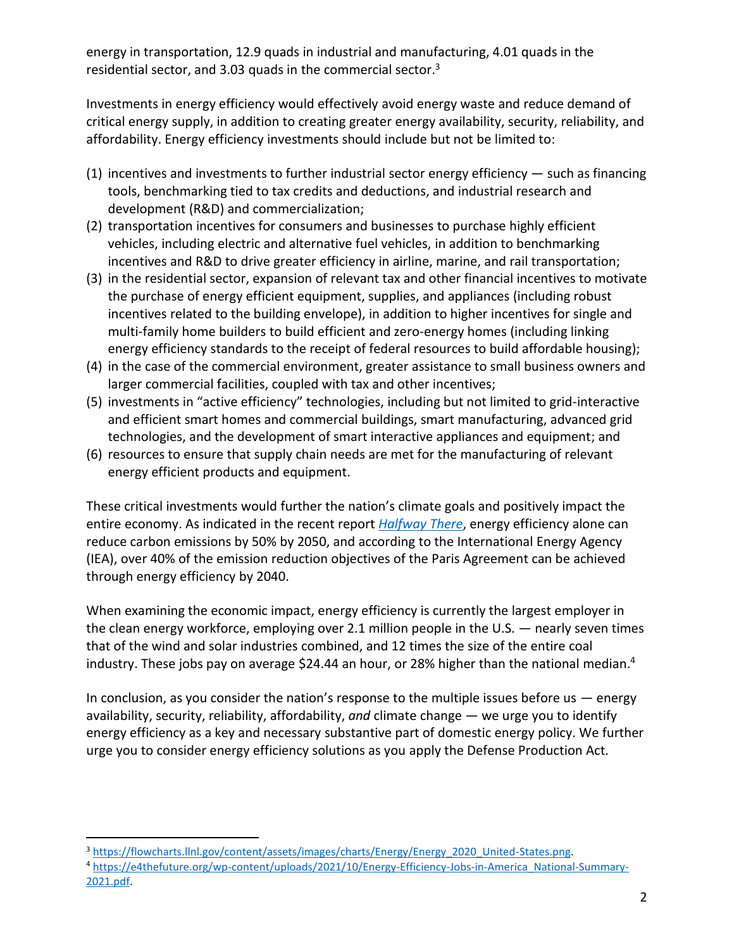energy in transportation, 12.9 quads in industrial and manufacturing, 4.01 quads in the residential sector, and 3.03 quads in the commercial sector. 3

Investments in energy efficiency would effectively avoid energy waste and reduce demand of critical energy supply, in addition to creating greater energy availability, security, reliability, and affordability. Energy efficiency investments should include but not be limited to:

- (1) incentives and investments to further industrial sector energy efficiency such as financing tools, benchmarking tied to tax credits and deductions, and industrial research and development (R&D) and commercialization;
- (2) transportation incentives for consumers and businesses to purchase highly efficient vehicles, including electric and alternative fuel vehicles, in addition to benchmarking incentives and R&D to drive greater efficiency in airline, marine, and rail transportation;
- (3) in the residential sector, expansion of relevant tax and other financial incentives to motivate the purchase of energy efficient equipment, supplies, and appliances (including robust incentives related to the building envelope), in addition to higher incentives for single and multi-family home builders to build efficient and zero-energy homes (including linking energy efficiency standards to the receipt of federal resources to build affordable housing);
- (4) in the case of the commercial environment, greater assistance to small business owners and larger commercial facilities, coupled with tax and other incentives;
- (5) investments in "active efficiency" technologies, including but not limited to grid-interactive and efficient smart homes and commercial buildings, smart manufacturing, advanced grid technologies, and the development of smart interactive appliances and equipment; and
- (6) resources to ensure that supply chain needs are met for the manufacturing of relevant energy efficient products and equipment.

These critical investments would further the nation's climate goals and positively impact the entire economy. As indicated in the recent report *[Halfway There](https://www.aceee.org/fact-sheet/halfway-there)*, energy efficiency alone can reduce carbon emissions by 50% by 2050, and according to the International Energy Agency (IEA), over 40% of the emission reduction objectives of the Paris Agreement can be achieved through energy efficiency by 2040.

When examining the economic impact, energy efficiency is currently the largest employer in the clean energy workforce, employing over 2.1 million people in the U.S. — nearly seven times that of the wind and solar industries combined, and 12 times the size of the entire coal industry. These jobs pay on average \$24.44 an hour, or 28% higher than the national median.<sup>4</sup>

In conclusion, as you consider the nation's response to the multiple issues before us  $-$  energy availability, security, reliability, affordability, *and* climate change — we urge you to identify energy efficiency as a key and necessary substantive part of domestic energy policy. We further urge you to consider energy efficiency solutions as you apply the Defense Production Act.

<sup>&</sup>lt;sup>3</sup> [https://flowcharts.llnl.gov/content/assets/images/charts/Energy/Energy\\_2020\\_United-States.png.](https://flowcharts.llnl.gov/content/assets/images/charts/Energy/Energy_2020_United-States.png)

<sup>4</sup> [https://e4thefuture.org/wp-content/uploads/2021/10/Energy-Efficiency-Jobs-in-America\\_National-Summary-](https://e4thefuture.org/wp-content/uploads/2021/10/Energy-Efficiency-Jobs-in-America_National-Summary-2021.pdf)[2021.pdf.](https://e4thefuture.org/wp-content/uploads/2021/10/Energy-Efficiency-Jobs-in-America_National-Summary-2021.pdf)